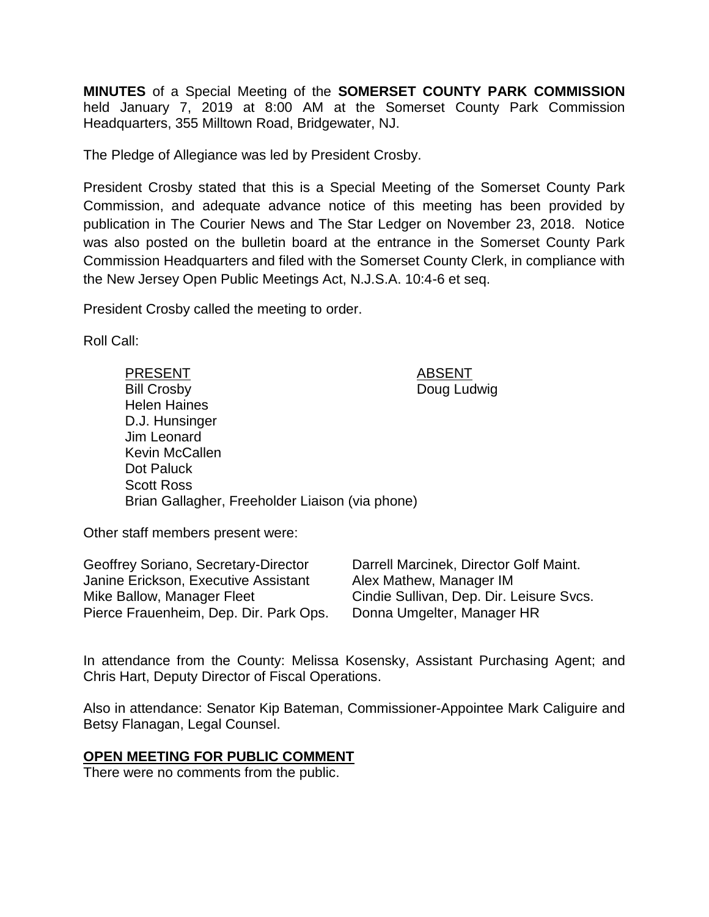**MINUTES** of a Special Meeting of the **SOMERSET COUNTY PARK COMMISSION** held January 7, 2019 at 8:00 AM at the Somerset County Park Commission Headquarters, 355 Milltown Road, Bridgewater, NJ.

The Pledge of Allegiance was led by President Crosby.

President Crosby stated that this is a Special Meeting of the Somerset County Park Commission, and adequate advance notice of this meeting has been provided by publication in The Courier News and The Star Ledger on November 23, 2018. Notice was also posted on the bulletin board at the entrance in the Somerset County Park Commission Headquarters and filed with the Somerset County Clerk, in compliance with the New Jersey Open Public Meetings Act, N.J.S.A. 10:4-6 et seq.

President Crosby called the meeting to order.

Roll Call:

PRESENT ABSENT Bill Crosby **Doug Ludwig** Helen Haines D.J. Hunsinger Jim Leonard Kevin McCallen Dot Paluck Scott Ross Brian Gallagher, Freeholder Liaison (via phone)

Other staff members present were:

| Geoffrey Soriano, Secretary-Director   | Darrell Marcinek, Director Golf Maint.   |
|----------------------------------------|------------------------------------------|
| Janine Erickson, Executive Assistant   | Alex Mathew, Manager IM                  |
| Mike Ballow, Manager Fleet             | Cindie Sullivan, Dep. Dir. Leisure Svcs. |
| Pierce Frauenheim, Dep. Dir. Park Ops. | Donna Umgelter, Manager HR               |

In attendance from the County: Melissa Kosensky, Assistant Purchasing Agent; and Chris Hart, Deputy Director of Fiscal Operations.

Also in attendance: Senator Kip Bateman, Commissioner-Appointee Mark Caliguire and Betsy Flanagan, Legal Counsel.

#### **OPEN MEETING FOR PUBLIC COMMENT**

There were no comments from the public.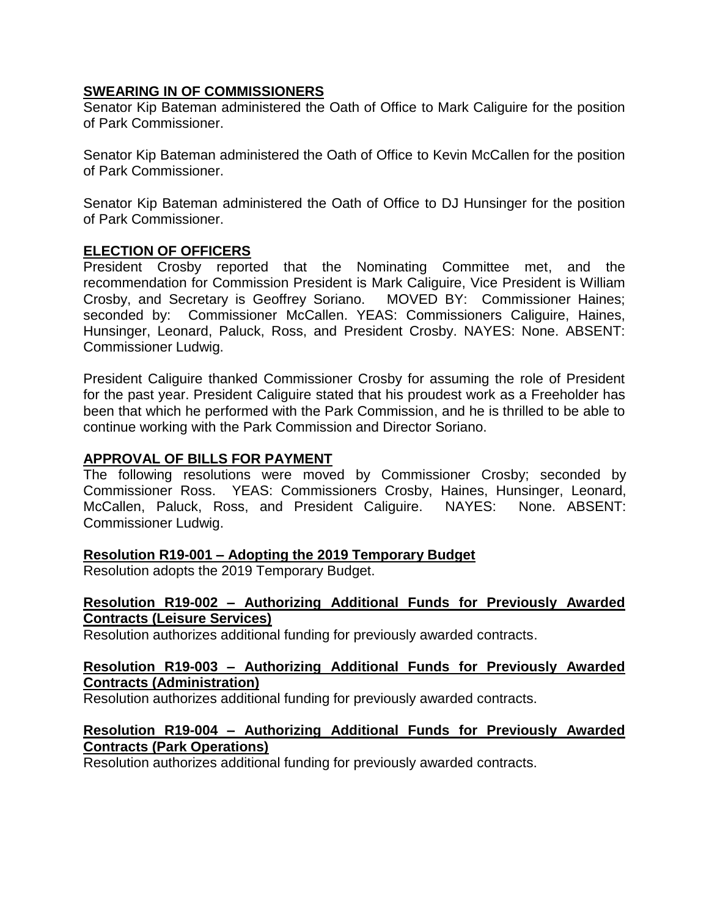#### **SWEARING IN OF COMMISSIONERS**

Senator Kip Bateman administered the Oath of Office to Mark Caliguire for the position of Park Commissioner.

Senator Kip Bateman administered the Oath of Office to Kevin McCallen for the position of Park Commissioner.

Senator Kip Bateman administered the Oath of Office to DJ Hunsinger for the position of Park Commissioner.

## **ELECTION OF OFFICERS**

President Crosby reported that the Nominating Committee met, and the recommendation for Commission President is Mark Caliguire, Vice President is William Crosby, and Secretary is Geoffrey Soriano. MOVED BY: Commissioner Haines; seconded by: Commissioner McCallen. YEAS: Commissioners Caliguire, Haines, Hunsinger, Leonard, Paluck, Ross, and President Crosby. NAYES: None. ABSENT: Commissioner Ludwig.

President Caliguire thanked Commissioner Crosby for assuming the role of President for the past year. President Caliguire stated that his proudest work as a Freeholder has been that which he performed with the Park Commission, and he is thrilled to be able to continue working with the Park Commission and Director Soriano.

#### **APPROVAL OF BILLS FOR PAYMENT**

The following resolutions were moved by Commissioner Crosby; seconded by Commissioner Ross. YEAS: Commissioners Crosby, Haines, Hunsinger, Leonard, McCallen, Paluck, Ross, and President Caliguire. NAYES: None. ABSENT: Commissioner Ludwig.

#### **Resolution R19-001 – Adopting the 2019 Temporary Budget**

Resolution adopts the 2019 Temporary Budget.

#### **Resolution R19-002 – Authorizing Additional Funds for Previously Awarded Contracts (Leisure Services)**

Resolution authorizes additional funding for previously awarded contracts.

## **Resolution R19-003 – Authorizing Additional Funds for Previously Awarded Contracts (Administration)**

Resolution authorizes additional funding for previously awarded contracts.

#### **Resolution R19-004 – Authorizing Additional Funds for Previously Awarded Contracts (Park Operations)**

Resolution authorizes additional funding for previously awarded contracts.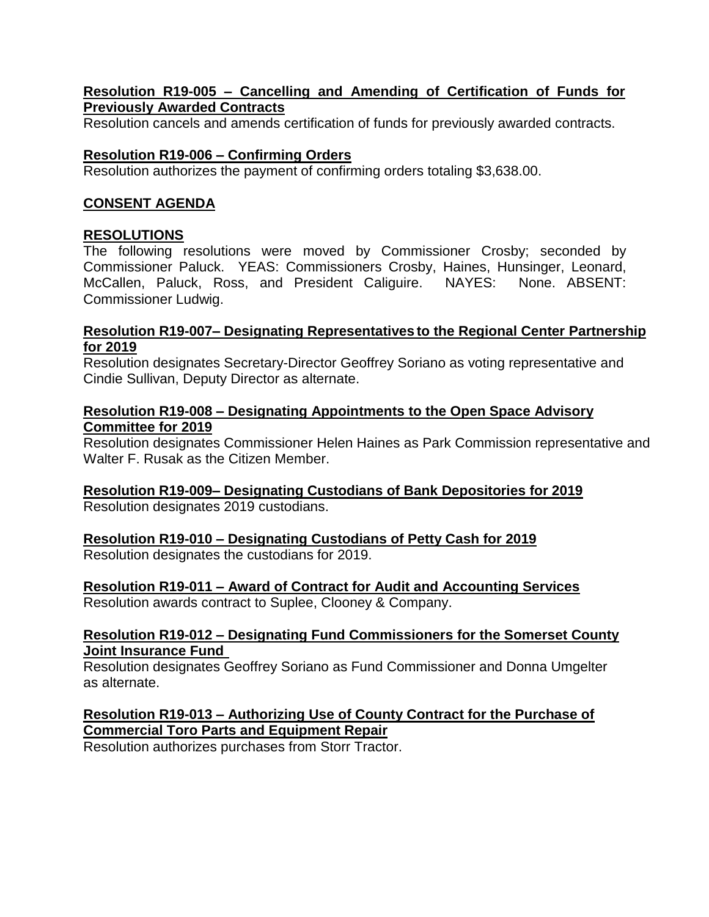#### **Resolution R19-005 – Cancelling and Amending of Certification of Funds for Previously Awarded Contracts**

Resolution cancels and amends certification of funds for previously awarded contracts.

# **Resolution R19-006 – Confirming Orders**

Resolution authorizes the payment of confirming orders totaling \$3,638.00.

# **CONSENT AGENDA**

## **RESOLUTIONS**

The following resolutions were moved by Commissioner Crosby; seconded by Commissioner Paluck. YEAS: Commissioners Crosby, Haines, Hunsinger, Leonard, McCallen, Paluck, Ross, and President Caliguire. NAYES: None. ABSENT: Commissioner Ludwig.

#### **Resolution R19-007– Designating Representatives to the Regional Center Partnership for 2019**

Resolution designates Secretary-Director Geoffrey Soriano as voting representative and Cindie Sullivan, Deputy Director as alternate.

#### **Resolution R19-008 – Designating Appointments to the Open Space Advisory Committee for 2019**

Resolution designates Commissioner Helen Haines as Park Commission representative and Walter F. Rusak as the Citizen Member.

# **Resolution R19-009– Designating Custodians of Bank Depositories for 2019**

Resolution designates 2019 custodians.

# **Resolution R19-010 – Designating Custodians of Petty Cash for 2019**

Resolution designates the custodians for 2019.

# **Resolution R19-011 – Award of Contract for Audit and Accounting Services**

Resolution awards contract to Suplee, Clooney & Company.

## **Resolution R19-012 – Designating Fund Commissioners for the Somerset County Joint Insurance Fund**

Resolution designates Geoffrey Soriano as Fund Commissioner and Donna Umgelter as alternate.

# **Resolution R19-013 – Authorizing Use of County Contract for the Purchase of Commercial Toro Parts and Equipment Repair**

Resolution authorizes purchases from Storr Tractor.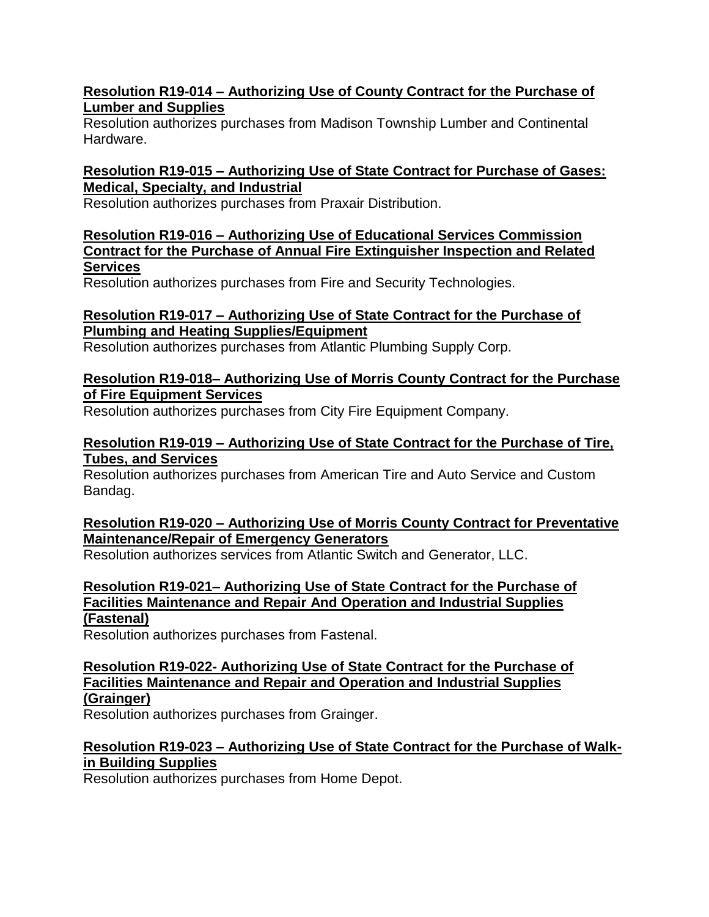## **Resolution R19-014 – Authorizing Use of County Contract for the Purchase of Lumber and Supplies**

Resolution authorizes purchases from Madison Township Lumber and Continental Hardware.

## **Resolution R19-015 – Authorizing Use of State Contract for Purchase of Gases: Medical, Specialty, and Industrial**

Resolution authorizes purchases from Praxair Distribution.

# **Resolution R19-016 – Authorizing Use of Educational Services Commission Contract for the Purchase of Annual Fire Extinguisher Inspection and Related Services**

Resolution authorizes purchases from Fire and Security Technologies.

# **Resolution R19-017 – Authorizing Use of State Contract for the Purchase of Plumbing and Heating Supplies/Equipment**

Resolution authorizes purchases from Atlantic Plumbing Supply Corp.

## **Resolution R19-018– Authorizing Use of Morris County Contract for the Purchase of Fire Equipment Services**

Resolution authorizes purchases from City Fire Equipment Company.

# **Resolution R19-019 – Authorizing Use of State Contract for the Purchase of Tire, Tubes, and Services**

Resolution authorizes purchases from American Tire and Auto Service and Custom Bandag.

# **Resolution R19-020 – Authorizing Use of Morris County Contract for Preventative Maintenance/Repair of Emergency Generators**

Resolution authorizes services from Atlantic Switch and Generator, LLC.

# **Resolution R19-021– Authorizing Use of State Contract for the Purchase of Facilities Maintenance and Repair And Operation and Industrial Supplies (Fastenal)**

Resolution authorizes purchases from Fastenal.

**Resolution R19-022- Authorizing Use of State Contract for the Purchase of Facilities Maintenance and Repair and Operation and Industrial Supplies (Grainger)**

Resolution authorizes purchases from Grainger.

# **Resolution R19-023 – Authorizing Use of State Contract for the Purchase of Walkin Building Supplies**

Resolution authorizes purchases from Home Depot.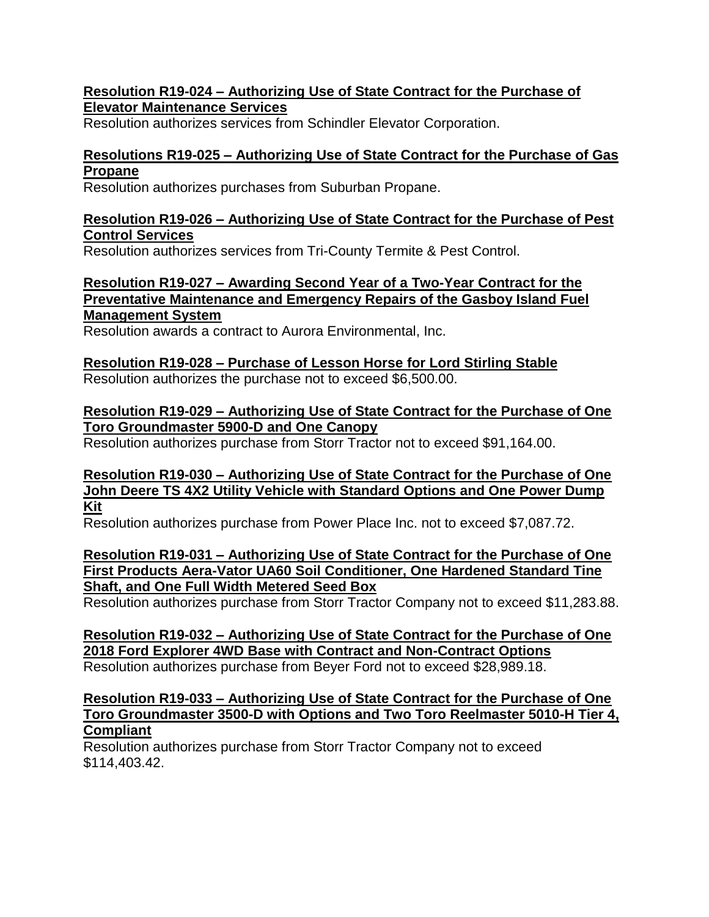#### **Resolution R19-024 – Authorizing Use of State Contract for the Purchase of Elevator Maintenance Services**

Resolution authorizes services from Schindler Elevator Corporation.

## **Resolutions R19-025 – Authorizing Use of State Contract for the Purchase of Gas Propane**

Resolution authorizes purchases from Suburban Propane.

## **Resolution R19-026 – Authorizing Use of State Contract for the Purchase of Pest Control Services**

Resolution authorizes services from Tri-County Termite & Pest Control.

**Resolution R19-027 – Awarding Second Year of a Two-Year Contract for the Preventative Maintenance and Emergency Repairs of the Gasboy Island Fuel Management System**

Resolution awards a contract to Aurora Environmental, Inc.

#### **Resolution R19-028 – Purchase of Lesson Horse for Lord Stirling Stable** Resolution authorizes the purchase not to exceed \$6,500.00.

## **Resolution R19-029 – Authorizing Use of State Contract for the Purchase of One Toro Groundmaster 5900-D and One Canopy**

Resolution authorizes purchase from Storr Tractor not to exceed \$91,164.00.

#### **Resolution R19-030 – Authorizing Use of State Contract for the Purchase of One John Deere TS 4X2 Utility Vehicle with Standard Options and One Power Dump Kit**

Resolution authorizes purchase from Power Place Inc. not to exceed \$7,087.72.

## **Resolution R19-031 – Authorizing Use of State Contract for the Purchase of One First Products Aera-Vator UA60 Soil Conditioner, One Hardened Standard Tine Shaft, and One Full Width Metered Seed Box**

Resolution authorizes purchase from Storr Tractor Company not to exceed \$11,283.88.

**Resolution R19-032 – Authorizing Use of State Contract for the Purchase of One 2018 Ford Explorer 4WD Base with Contract and Non-Contract Options** Resolution authorizes purchase from Beyer Ford not to exceed \$28,989.18.

## **Resolution R19-033 – Authorizing Use of State Contract for the Purchase of One Toro Groundmaster 3500-D with Options and Two Toro Reelmaster 5010-H Tier 4, Compliant**

Resolution authorizes purchase from Storr Tractor Company not to exceed \$114,403.42.